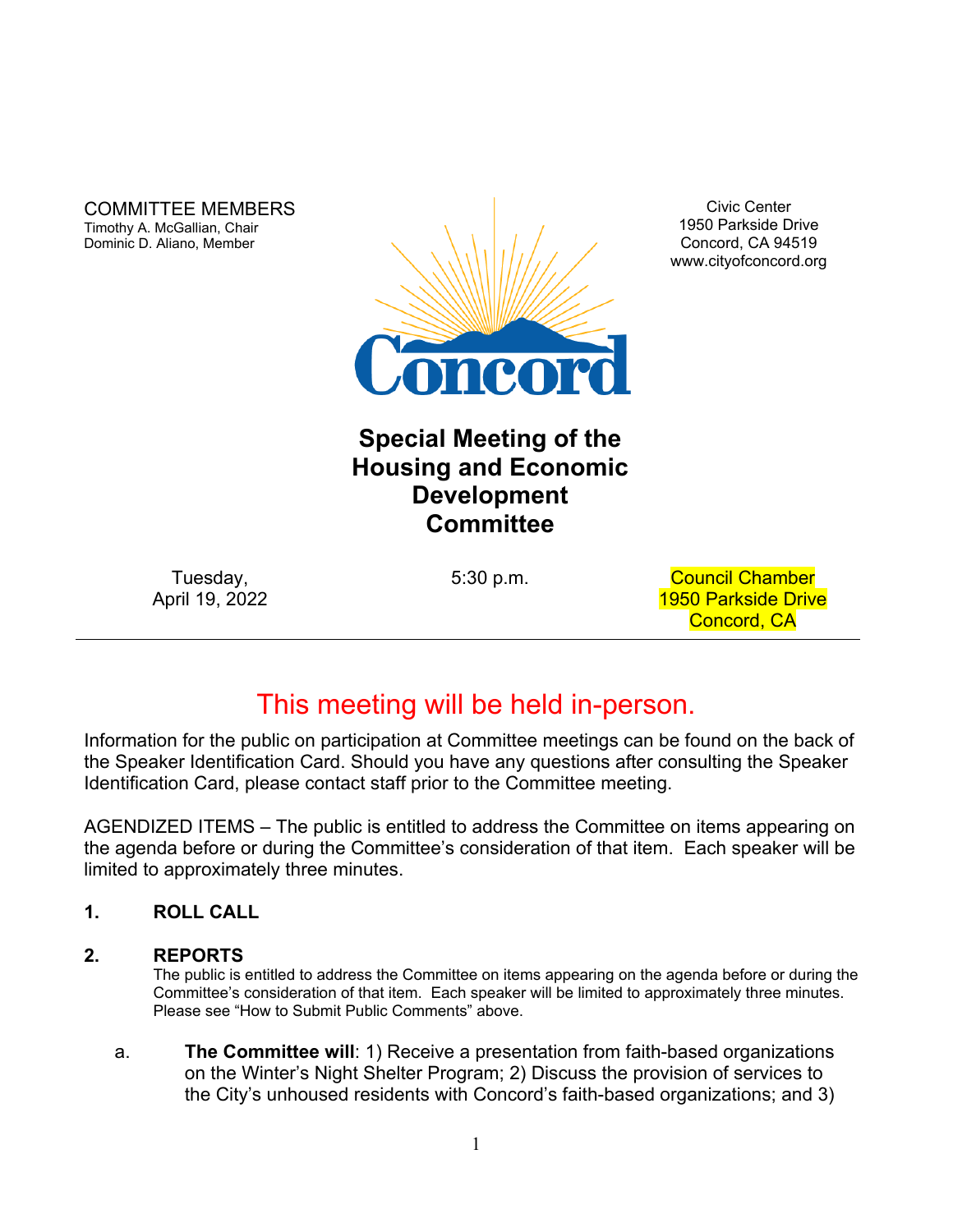COMMITTEE MEMBERS Timothy A. McGallian, Chair Dominic D. Aliano, Member



Civic Center 1950 Parkside Drive Concord, CA 94519 www.cityofconcord.org

# **Special Meeting of the Housing and Economic Development Committee**

Tuesday, April 19, 2022

5:30 p.m. Council Chamber 1950 Parkside Drive Concord, CA

# This meeting will be held in-person.

Information for the public on participation at Committee meetings can be found on the back of the Speaker Identification Card. Should you have any questions after consulting the Speaker Identification Card, please contact staff prior to the Committee meeting.

AGENDIZED ITEMS – The public is entitled to address the Committee on items appearing on the agenda before or during the Committee's consideration of that item. Each speaker will be limited to approximately three minutes.

# **1. ROLL CALL**

# **2. REPORTS**

The public is entitled to address the Committee on items appearing on the agenda before or during the Committee's consideration of that item. Each speaker will be limited to approximately three minutes. Please see "How to Submit Public Comments" above.

a. **The Committee will**: 1) Receive a presentation from faith-based organizations on the Winter's Night Shelter Program; 2) Discuss the provision of services to the City's unhoused residents with Concord's faith-based organizations; and 3)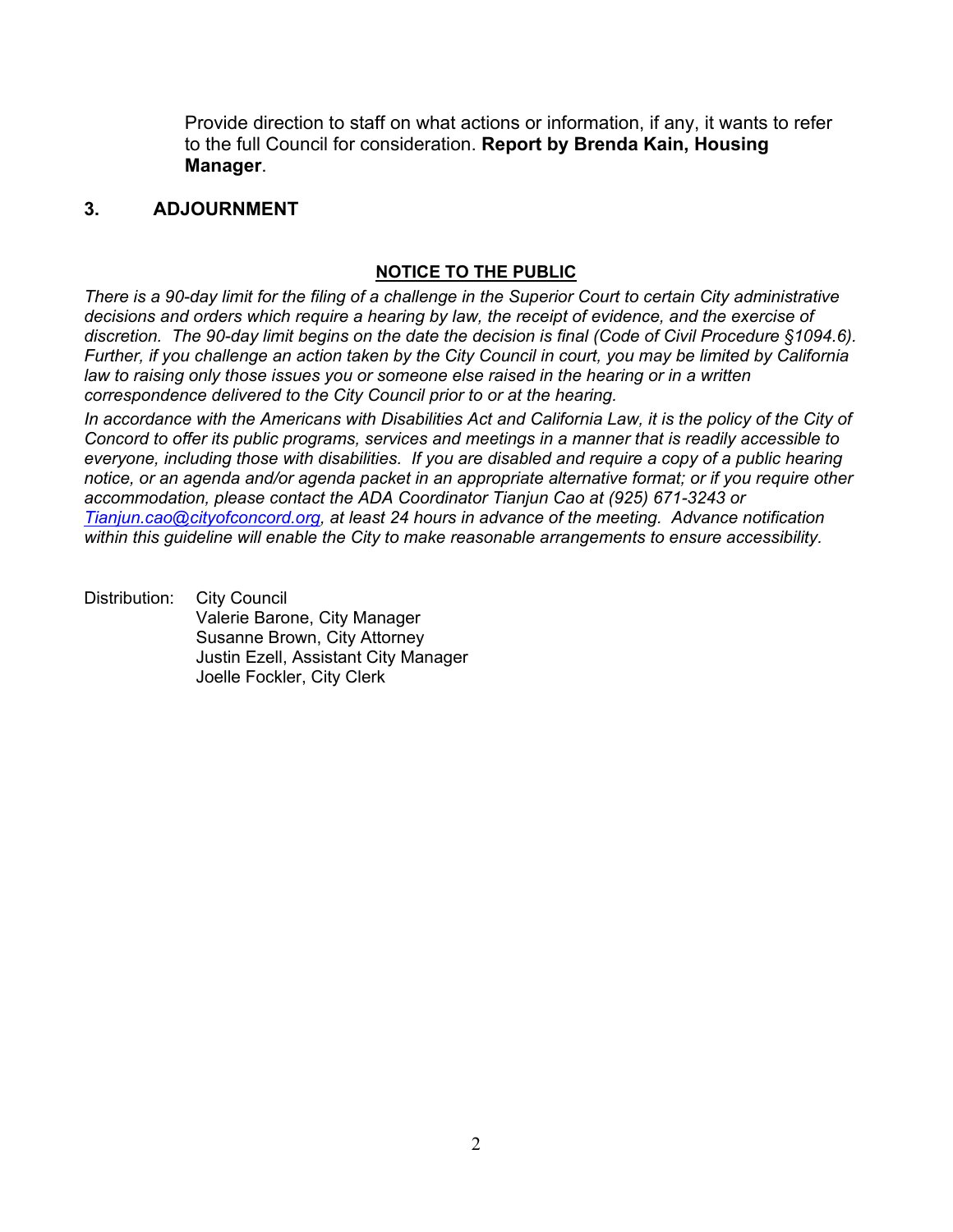Provide direction to staff on what actions or information, if any, it wants to refer to the full Council for consideration. **Report by Brenda Kain, Housing Manager**.

# **3. ADJOURNMENT**

### **NOTICE TO THE PUBLIC**

*There is a 90-day limit for the filing of a challenge in the Superior Court to certain City administrative decisions and orders which require a hearing by law, the receipt of evidence, and the exercise of discretion. The 90-day limit begins on the date the decision is final (Code of Civil Procedure §1094.6). Further, if you challenge an action taken by the City Council in court, you may be limited by California law to raising only those issues you or someone else raised in the hearing or in a written correspondence delivered to the City Council prior to or at the hearing.*

*In accordance with the Americans with Disabilities Act and California Law, it is the policy of the City of Concord to offer its public programs, services and meetings in a manner that is readily accessible to everyone, including those with disabilities. If you are disabled and require a copy of a public hearing notice, or an agenda and/or agenda packet in an appropriate alternative format; or if you require other accommodation, please contact the ADA Coordinator Tianjun Cao at (925) 671-3243 or [Tianjun.cao@cityofconcord.org,](mailto:Tianjun.cao@cityofconcord.org) at least 24 hours in advance of the meeting. Advance notification within this guideline will enable the City to make reasonable arrangements to ensure accessibility.* 

Distribution: City Council Valerie Barone, City Manager Susanne Brown, City Attorney Justin Ezell, Assistant City Manager Joelle Fockler, City Clerk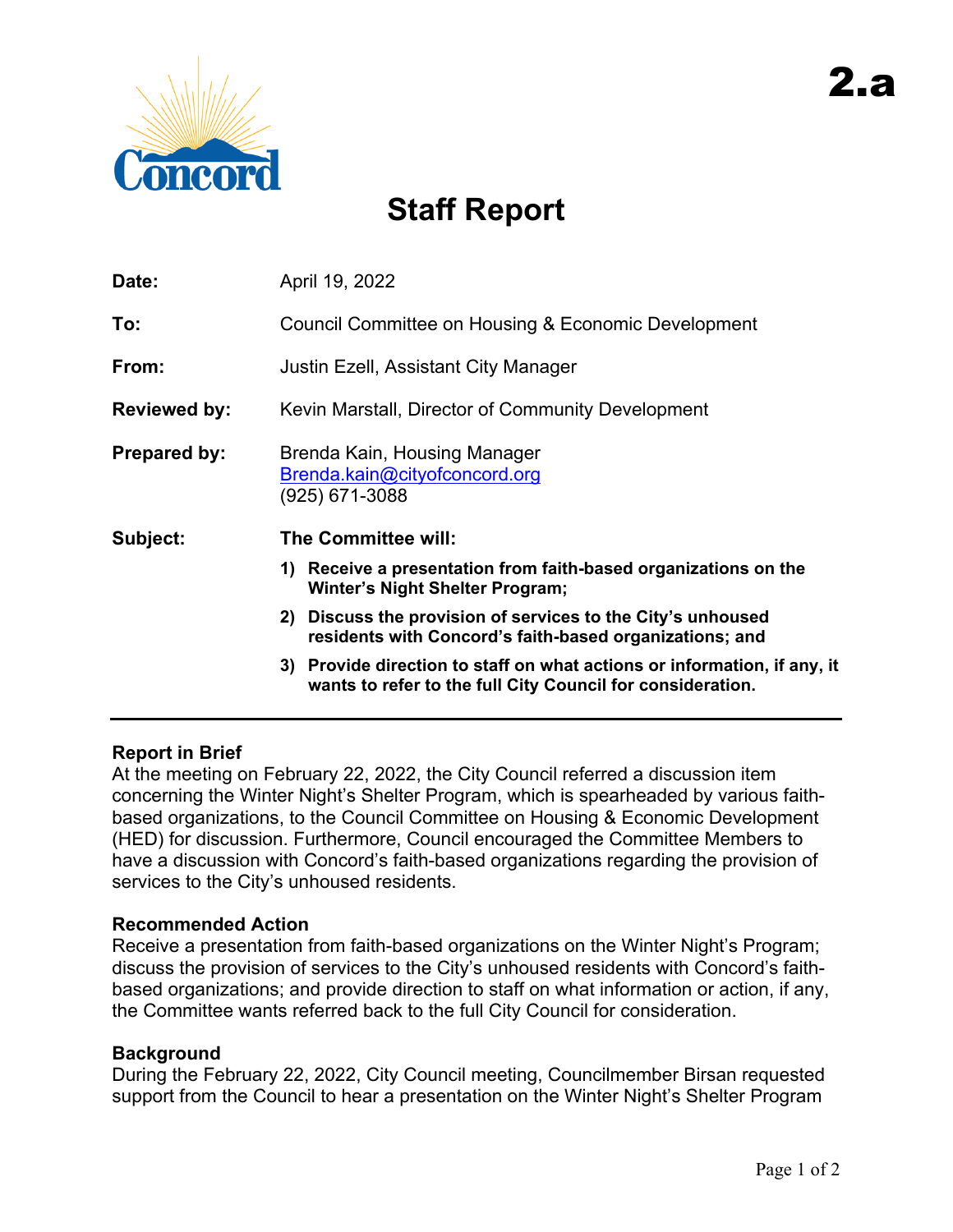

# **Staff Report**

| Date:               | April 19, 2022                                                                                                                            |
|---------------------|-------------------------------------------------------------------------------------------------------------------------------------------|
| To:                 | Council Committee on Housing & Economic Development                                                                                       |
| From:               | Justin Ezell, Assistant City Manager                                                                                                      |
| <b>Reviewed by:</b> | Kevin Marstall, Director of Community Development                                                                                         |
| <b>Prepared by:</b> | Brenda Kain, Housing Manager<br>Brenda.kain@cityofconcord.org<br>(925) 671-3088                                                           |
| Subject:            | The Committee will:                                                                                                                       |
|                     | Receive a presentation from faith-based organizations on the<br>1)<br><b>Winter's Night Shelter Program;</b>                              |
|                     | Discuss the provision of services to the City's unhoused<br>2)<br>residents with Concord's faith-based organizations; and                 |
|                     | Provide direction to staff on what actions or information, if any, it<br>3)<br>wants to refer to the full City Council for consideration. |

# **Report in Brief**

At the meeting on February 22, 2022, the City Council referred a discussion item concerning the Winter Night's Shelter Program, which is spearheaded by various faithbased organizations, to the Council Committee on Housing & Economic Development (HED) for discussion. Furthermore, Council encouraged the Committee Members to have a discussion with Concord's faith-based organizations regarding the provision of services to the City's unhoused residents.

# **Recommended Action**

Receive a presentation from faith-based organizations on the Winter Night's Program; discuss the provision of services to the City's unhoused residents with Concord's faithbased organizations; and provide direction to staff on what information or action, if any, the Committee wants referred back to the full City Council for consideration.

# **Background**

During the February 22, 2022, City Council meeting, Councilmember Birsan requested support from the Council to hear a presentation on the Winter Night's Shelter Program